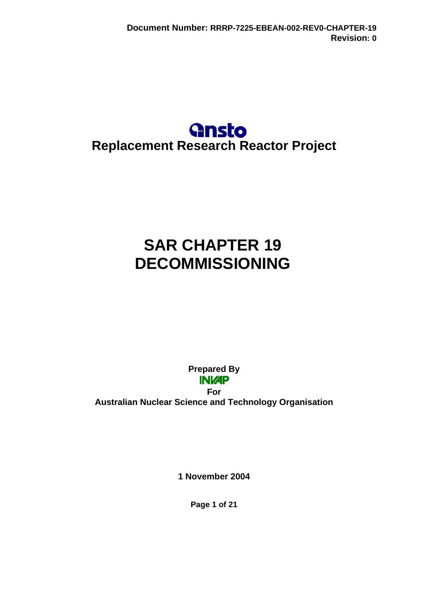# **Gnsto Replacement Research Reactor Project**

# **SAR CHAPTER 19 DECOMMISSIONING**

**Prepared By INVAP For Australian Nuclear Science and Technology Organisation** 

**1 November 2004** 

**Page 1 of 21**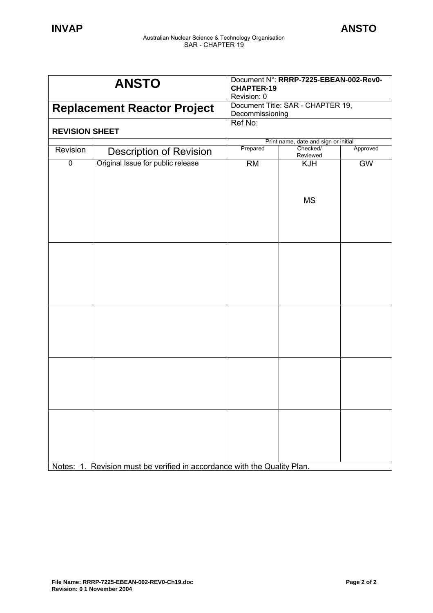| <b>ANSTO</b>                                                             |                                   | Document N°: RRRP-7225-EBEAN-002-Rev0-<br><b>CHAPTER-19</b> |                                   |           |
|--------------------------------------------------------------------------|-----------------------------------|-------------------------------------------------------------|-----------------------------------|-----------|
|                                                                          |                                   | Revision: 0                                                 |                                   |           |
| <b>Replacement Reactor Project</b>                                       |                                   |                                                             | Document Title: SAR - CHAPTER 19, |           |
|                                                                          |                                   | Decommissioning                                             |                                   |           |
| <b>REVISION SHEET</b>                                                    |                                   | Ref No:                                                     |                                   |           |
|                                                                          |                                   | Print name, date and sign or initial                        |                                   |           |
| Revision                                                                 | <b>Description of Revision</b>    | Prepared                                                    | Checked/<br>Reviewed              | Approved  |
| $\pmb{0}$                                                                | Original Issue for public release | <b>RM</b>                                                   | <b>KJH</b>                        | <b>GW</b> |
|                                                                          |                                   |                                                             | <b>MS</b>                         |           |
|                                                                          |                                   |                                                             |                                   |           |
|                                                                          |                                   |                                                             |                                   |           |
|                                                                          |                                   |                                                             |                                   |           |
|                                                                          |                                   |                                                             |                                   |           |
| Notes: 1. Revision must be verified in accordance with the Quality Plan. |                                   |                                                             |                                   |           |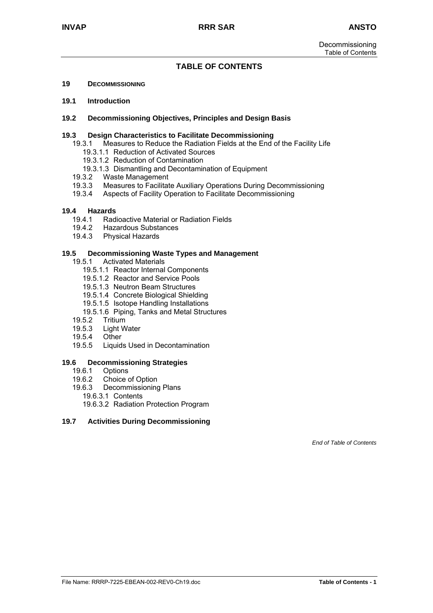# **TABLE OF CONTENTS**

#### **19 DECOMMISSIONING**

#### **19.1 Introduction**

#### **19.2 Decommissioning Objectives, Principles and Design Basis**

#### **19.3 Design Characteristics to Facilitate Decommissioning**

- 19.3.1 Measures to Reduce the Radiation Fields at the End of the Facility Life
	- 19.3.1.1 Reduction of Activated Sources
	- 19.3.1.2 Reduction of Contamination
	- 19.3.1.3 Dismantling and Decontamination of Equipment
- 19.3.2 Waste Management
- 19.3.3 Measures to Facilitate Auxiliary Operations During Decommissioning
- 19.3.4 Aspects of Facility Operation to Facilitate Decommissioning

#### **19.4 Hazards**

- 19.4.1 Radioactive Material or Radiation Fields<br>19.4.2 Hazardous Substances
- 19.4.2 Hazardous Substances<br>19.4.3 Physical Hazards
- 19.4.3 Physical Hazards

#### **19.5 Decommissioning Waste Types and Management**

- 19.5.1 Activated Materials
	- 19.5.1.1 Reactor Internal Components
	- 19.5.1.2 Reactor and Service Pools
	- 19.5.1.3 Neutron Beam Structures
	- 19.5.1.4 Concrete Biological Shielding
	- 19.5.1.5 Isotope Handling Installations
	- 19.5.1.6 Piping, Tanks and Metal Structures
- 19.5.2 Tritium
- 19.5.3 Light Water
- 19.5.4 Other
- 19.5.5 Liquids Used in Decontamination

#### **19.6 Decommissioning Strategies**

- 19.6.1 Options
- 19.6.2 Choice of Option
- 19.6.3 Decommissioning Plans
	- 19.6.3.1 Contents
	- 19.6.3.2 Radiation Protection Program

#### **19.7 Activities During Decommissioning**

*End of Table of Contents*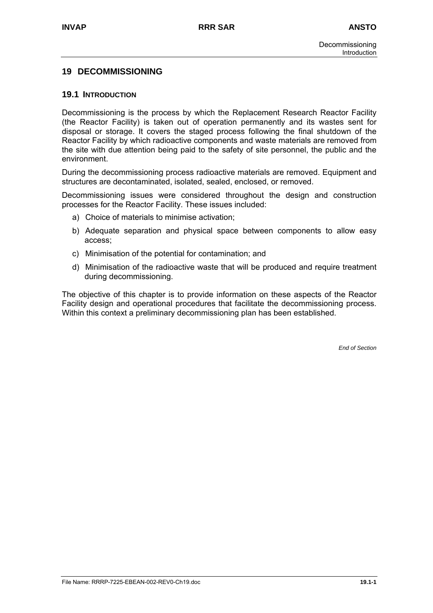# **19 DECOMMISSIONING**

#### **19.1 INTRODUCTION**

Decommissioning is the process by which the Replacement Research Reactor Facility (the Reactor Facility) is taken out of operation permanently and its wastes sent for disposal or storage. It covers the staged process following the final shutdown of the Reactor Facility by which radioactive components and waste materials are removed from the site with due attention being paid to the safety of site personnel, the public and the environment.

During the decommissioning process radioactive materials are removed. Equipment and structures are decontaminated, isolated, sealed, enclosed, or removed.

Decommissioning issues were considered throughout the design and construction processes for the Reactor Facility. These issues included:

- a) Choice of materials to minimise activation;
- b) Adequate separation and physical space between components to allow easy access;
- c) Minimisation of the potential for contamination; and
- d) Minimisation of the radioactive waste that will be produced and require treatment during decommissioning.

The objective of this chapter is to provide information on these aspects of the Reactor Facility design and operational procedures that facilitate the decommissioning process. Within this context a preliminary decommissioning plan has been established.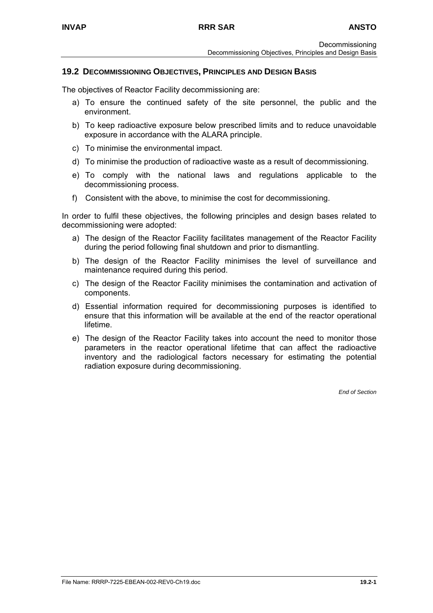#### **19.2 DECOMMISSIONING OBJECTIVES, PRINCIPLES AND DESIGN BASIS**

The objectives of Reactor Facility decommissioning are:

- a) To ensure the continued safety of the site personnel, the public and the environment.
- b) To keep radioactive exposure below prescribed limits and to reduce unavoidable exposure in accordance with the ALARA principle.
- c) To minimise the environmental impact.
- d) To minimise the production of radioactive waste as a result of decommissioning.
- e) To comply with the national laws and regulations applicable to the decommissioning process.
- f) Consistent with the above, to minimise the cost for decommissioning.

In order to fulfil these objectives, the following principles and design bases related to decommissioning were adopted:

- a) The design of the Reactor Facility facilitates management of the Reactor Facility during the period following final shutdown and prior to dismantling.
- b) The design of the Reactor Facility minimises the level of surveillance and maintenance required during this period.
- c) The design of the Reactor Facility minimises the contamination and activation of components.
- d) Essential information required for decommissioning purposes is identified to ensure that this information will be available at the end of the reactor operational lifetime.
- e) The design of the Reactor Facility takes into account the need to monitor those parameters in the reactor operational lifetime that can affect the radioactive inventory and the radiological factors necessary for estimating the potential radiation exposure during decommissioning.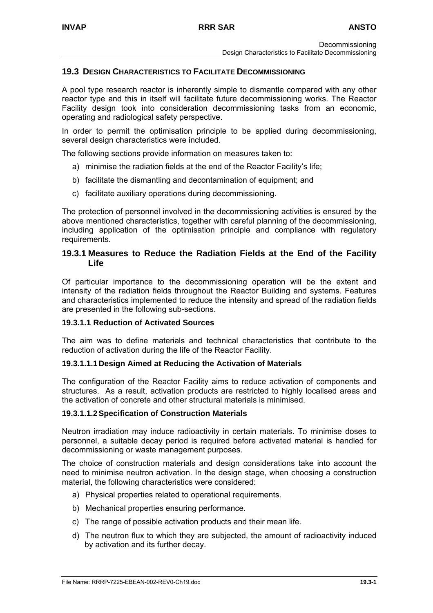# **19.3 DESIGN CHARACTERISTICS TO FACILITATE DECOMMISSIONING**

A pool type research reactor is inherently simple to dismantle compared with any other reactor type and this in itself will facilitate future decommissioning works. The Reactor Facility design took into consideration decommissioning tasks from an economic, operating and radiological safety perspective.

In order to permit the optimisation principle to be applied during decommissioning, several design characteristics were included.

The following sections provide information on measures taken to:

- a) minimise the radiation fields at the end of the Reactor Facility's life;
- b) facilitate the dismantling and decontamination of equipment; and
- c) facilitate auxiliary operations during decommissioning.

The protection of personnel involved in the decommissioning activities is ensured by the above mentioned characteristics, together with careful planning of the decommissioning, including application of the optimisation principle and compliance with regulatory requirements.

#### **19.3.1 Measures to Reduce the Radiation Fields at the End of the Facility Life**

Of particular importance to the decommissioning operation will be the extent and intensity of the radiation fields throughout the Reactor Building and systems. Features and characteristics implemented to reduce the intensity and spread of the radiation fields are presented in the following sub-sections.

#### **19.3.1.1 Reduction of Activated Sources**

The aim was to define materials and technical characteristics that contribute to the reduction of activation during the life of the Reactor Facility.

#### **19.3.1.1.1 Design Aimed at Reducing the Activation of Materials**

The configuration of the Reactor Facility aims to reduce activation of components and structures. As a result, activation products are restricted to highly localised areas and the activation of concrete and other structural materials is minimised.

#### **19.3.1.1.2 Specification of Construction Materials**

Neutron irradiation may induce radioactivity in certain materials. To minimise doses to personnel, a suitable decay period is required before activated material is handled for decommissioning or waste management purposes.

The choice of construction materials and design considerations take into account the need to minimise neutron activation. In the design stage, when choosing a construction material, the following characteristics were considered:

- a) Physical properties related to operational requirements.
- b) Mechanical properties ensuring performance.
- c) The range of possible activation products and their mean life.
- d) The neutron flux to which they are subjected, the amount of radioactivity induced by activation and its further decay.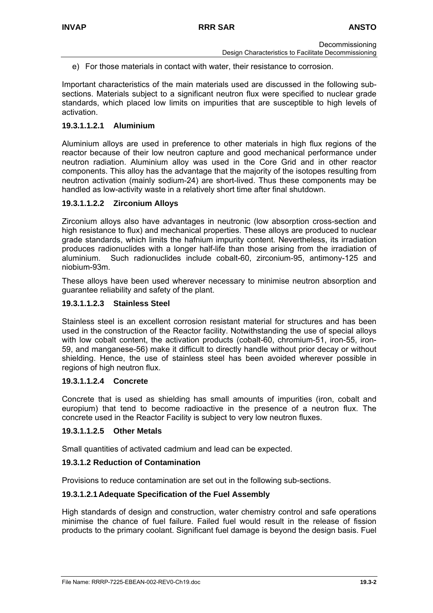e) For those materials in contact with water, their resistance to corrosion.

Important characteristics of the main materials used are discussed in the following subsections. Materials subject to a significant neutron flux were specified to nuclear grade standards, which placed low limits on impurities that are susceptible to high levels of activation.

#### **19.3.1.1.2.1 Aluminium**

Aluminium alloys are used in preference to other materials in high flux regions of the reactor because of their low neutron capture and good mechanical performance under neutron radiation. Aluminium alloy was used in the Core Grid and in other reactor components. This alloy has the advantage that the majority of the isotopes resulting from neutron activation (mainly sodium-24) are short-lived. Thus these components may be handled as low-activity waste in a relatively short time after final shutdown.

#### **19.3.1.1.2.2 Zirconium Alloys**

Zirconium alloys also have advantages in neutronic (low absorption cross-section and high resistance to flux) and mechanical properties. These alloys are produced to nuclear grade standards, which limits the hafnium impurity content. Nevertheless, its irradiation produces radionuclides with a longer half-life than those arising from the irradiation of aluminium. Such radionuclides include cobalt-60, zirconium-95, antimony-125 and niobium-93m.

These alloys have been used wherever necessary to minimise neutron absorption and guarantee reliability and safety of the plant.

#### **19.3.1.1.2.3 Stainless Steel**

Stainless steel is an excellent corrosion resistant material for structures and has been used in the construction of the Reactor facility. Notwithstanding the use of special alloys with low cobalt content, the activation products (cobalt-60, chromium-51, iron-55, iron-59, and manganese-56) make it difficult to directly handle without prior decay or without shielding. Hence, the use of stainless steel has been avoided wherever possible in regions of high neutron flux.

#### **19.3.1.1.2.4 Concrete**

Concrete that is used as shielding has small amounts of impurities (iron, cobalt and europium) that tend to become radioactive in the presence of a neutron flux. The concrete used in the Reactor Facility is subject to very low neutron fluxes.

#### **19.3.1.1.2.5 Other Metals**

Small quantities of activated cadmium and lead can be expected.

#### **19.3.1.2 Reduction of Contamination**

Provisions to reduce contamination are set out in the following sub-sections.

#### **19.3.1.2.1 Adequate Specification of the Fuel Assembly**

High standards of design and construction, water chemistry control and safe operations minimise the chance of fuel failure. Failed fuel would result in the release of fission products to the primary coolant. Significant fuel damage is beyond the design basis. Fuel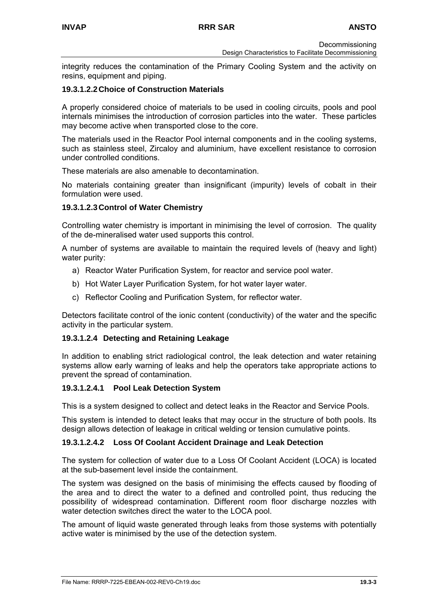integrity reduces the contamination of the Primary Cooling System and the activity on resins, equipment and piping.

#### **19.3.1.2.2 Choice of Construction Materials**

A properly considered choice of materials to be used in cooling circuits, pools and pool internals minimises the introduction of corrosion particles into the water. These particles may become active when transported close to the core.

The materials used in the Reactor Pool internal components and in the cooling systems, such as stainless steel, Zircaloy and aluminium, have excellent resistance to corrosion under controlled conditions.

These materials are also amenable to decontamination.

No materials containing greater than insignificant (impurity) levels of cobalt in their formulation were used.

#### **19.3.1.2.3 Control of Water Chemistry**

Controlling water chemistry is important in minimising the level of corrosion. The quality of the de-mineralised water used supports this control.

A number of systems are available to maintain the required levels of (heavy and light) water purity:

- a) Reactor Water Purification System, for reactor and service pool water.
- b) Hot Water Layer Purification System, for hot water layer water.
- c) Reflector Cooling and Purification System, for reflector water.

Detectors facilitate control of the ionic content (conductivity) of the water and the specific activity in the particular system.

# **19.3.1.2.4 Detecting and Retaining Leakage**

In addition to enabling strict radiological control, the leak detection and water retaining systems allow early warning of leaks and help the operators take appropriate actions to prevent the spread of contamination.

# **19.3.1.2.4.1 Pool Leak Detection System**

This is a system designed to collect and detect leaks in the Reactor and Service Pools.

This system is intended to detect leaks that may occur in the structure of both pools. Its design allows detection of leakage in critical welding or tension cumulative points.

#### **19.3.1.2.4.2 Loss Of Coolant Accident Drainage and Leak Detection**

The system for collection of water due to a Loss Of Coolant Accident (LOCA) is located at the sub-basement level inside the containment.

The system was designed on the basis of minimising the effects caused by flooding of the area and to direct the water to a defined and controlled point, thus reducing the possibility of widespread contamination. Different room floor discharge nozzles with water detection switches direct the water to the LOCA pool.

The amount of liquid waste generated through leaks from those systems with potentially active water is minimised by the use of the detection system.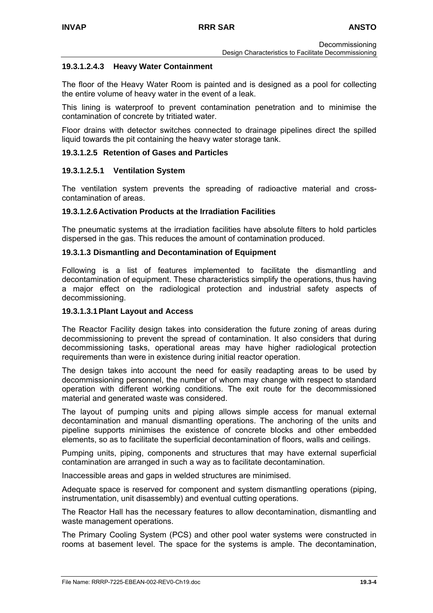# **19.3.1.2.4.3 Heavy Water Containment**

The floor of the Heavy Water Room is painted and is designed as a pool for collecting the entire volume of heavy water in the event of a leak.

This lining is waterproof to prevent contamination penetration and to minimise the contamination of concrete by tritiated water.

Floor drains with detector switches connected to drainage pipelines direct the spilled liquid towards the pit containing the heavy water storage tank.

#### **19.3.1.2.5 Retention of Gases and Particles**

#### **19.3.1.2.5.1 Ventilation System**

The ventilation system prevents the spreading of radioactive material and crosscontamination of areas.

#### **19.3.1.2.6 Activation Products at the Irradiation Facilities**

The pneumatic systems at the irradiation facilities have absolute filters to hold particles dispersed in the gas. This reduces the amount of contamination produced.

#### **19.3.1.3 Dismantling and Decontamination of Equipment**

Following is a list of features implemented to facilitate the dismantling and decontamination of equipment. These characteristics simplify the operations, thus having a major effect on the radiological protection and industrial safety aspects of decommissioning.

#### **19.3.1.3.1 Plant Layout and Access**

The Reactor Facility design takes into consideration the future zoning of areas during decommissioning to prevent the spread of contamination. It also considers that during decommissioning tasks, operational areas may have higher radiological protection requirements than were in existence during initial reactor operation.

The design takes into account the need for easily readapting areas to be used by decommissioning personnel, the number of whom may change with respect to standard operation with different working conditions. The exit route for the decommissioned material and generated waste was considered.

The layout of pumping units and piping allows simple access for manual external decontamination and manual dismantling operations. The anchoring of the units and pipeline supports minimises the existence of concrete blocks and other embedded elements, so as to facilitate the superficial decontamination of floors, walls and ceilings.

Pumping units, piping, components and structures that may have external superficial contamination are arranged in such a way as to facilitate decontamination.

Inaccessible areas and gaps in welded structures are minimised.

Adequate space is reserved for component and system dismantling operations (piping, instrumentation, unit disassembly) and eventual cutting operations.

The Reactor Hall has the necessary features to allow decontamination, dismantling and waste management operations.

The Primary Cooling System (PCS) and other pool water systems were constructed in rooms at basement level. The space for the systems is ample. The decontamination,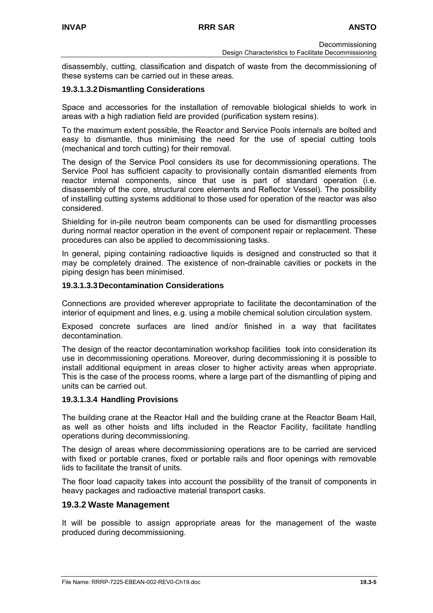disassembly, cutting, classification and dispatch of waste from the decommissioning of these systems can be carried out in these areas.

#### **19.3.1.3.2 Dismantling Considerations**

Space and accessories for the installation of removable biological shields to work in areas with a high radiation field are provided (purification system resins).

To the maximum extent possible, the Reactor and Service Pools internals are bolted and easy to dismantle, thus minimising the need for the use of special cutting tools (mechanical and torch cutting) for their removal.

The design of the Service Pool considers its use for decommissioning operations. The Service Pool has sufficient capacity to provisionally contain dismantled elements from reactor internal components, since that use is part of standard operation (i.e. disassembly of the core, structural core elements and Reflector Vessel). The possibility of installing cutting systems additional to those used for operation of the reactor was also considered.

Shielding for in-pile neutron beam components can be used for dismantling processes during normal reactor operation in the event of component repair or replacement. These procedures can also be applied to decommissioning tasks.

In general, piping containing radioactive liquids is designed and constructed so that it may be completely drained. The existence of non-drainable cavities or pockets in the piping design has been minimised.

#### **19.3.1.3.3 Decontamination Considerations**

Connections are provided wherever appropriate to facilitate the decontamination of the interior of equipment and lines, e.g. using a mobile chemical solution circulation system.

Exposed concrete surfaces are lined and/or finished in a way that facilitates decontamination.

The design of the reactor decontamination workshop facilities took into consideration its use in decommissioning operations. Moreover, during decommissioning it is possible to install additional equipment in areas closer to higher activity areas when appropriate. This is the case of the process rooms, where a large part of the dismantling of piping and units can be carried out.

#### **19.3.1.3.4 Handling Provisions**

The building crane at the Reactor Hall and the building crane at the Reactor Beam Hall, as well as other hoists and lifts included in the Reactor Facility, facilitate handling operations during decommissioning.

The design of areas where decommissioning operations are to be carried are serviced with fixed or portable cranes, fixed or portable rails and floor openings with removable lids to facilitate the transit of units.

The floor load capacity takes into account the possibility of the transit of components in heavy packages and radioactive material transport casks.

# **19.3.2 Waste Management**

It will be possible to assign appropriate areas for the management of the waste produced during decommissioning.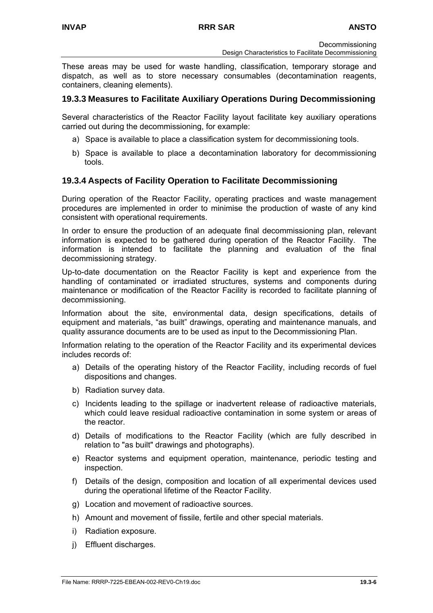These areas may be used for waste handling, classification, temporary storage and dispatch, as well as to store necessary consumables (decontamination reagents, containers, cleaning elements).

# **19.3.3 Measures to Facilitate Auxiliary Operations During Decommissioning**

Several characteristics of the Reactor Facility layout facilitate key auxiliary operations carried out during the decommissioning, for example:

- a) Space is available to place a classification system for decommissioning tools.
- b) Space is available to place a decontamination laboratory for decommissioning tools.

# **19.3.4 Aspects of Facility Operation to Facilitate Decommissioning**

During operation of the Reactor Facility, operating practices and waste management procedures are implemented in order to minimise the production of waste of any kind consistent with operational requirements.

In order to ensure the production of an adequate final decommissioning plan, relevant information is expected to be gathered during operation of the Reactor Facility. The information is intended to facilitate the planning and evaluation of the final decommissioning strategy.

Up-to-date documentation on the Reactor Facility is kept and experience from the handling of contaminated or irradiated structures, systems and components during maintenance or modification of the Reactor Facility is recorded to facilitate planning of decommissioning.

Information about the site, environmental data, design specifications, details of equipment and materials, "as built" drawings, operating and maintenance manuals, and quality assurance documents are to be used as input to the Decommissioning Plan.

Information relating to the operation of the Reactor Facility and its experimental devices includes records of:

- a) Details of the operating history of the Reactor Facility, including records of fuel dispositions and changes.
- b) Radiation survey data.
- c) Incidents leading to the spillage or inadvertent release of radioactive materials, which could leave residual radioactive contamination in some system or areas of the reactor.
- d) Details of modifications to the Reactor Facility (which are fully described in relation to "as built" drawings and photographs).
- e) Reactor systems and equipment operation, maintenance, periodic testing and inspection.
- f) Details of the design, composition and location of all experimental devices used during the operational lifetime of the Reactor Facility.
- g) Location and movement of radioactive sources.
- h) Amount and movement of fissile, fertile and other special materials.
- i) Radiation exposure.
- j) Effluent discharges.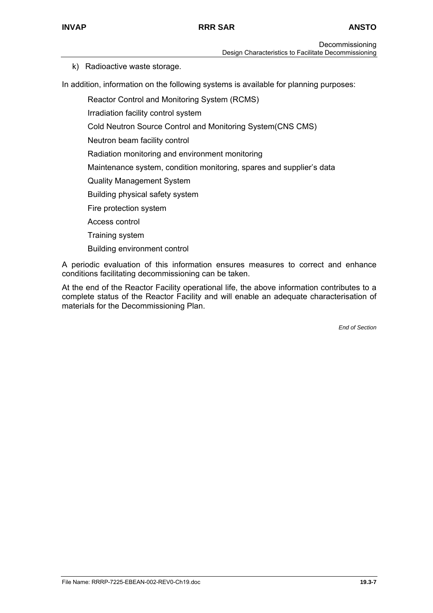k) Radioactive waste storage.

In addition, information on the following systems is available for planning purposes:

Reactor Control and Monitoring System (RCMS)

Irradiation facility control system

Cold Neutron Source Control and Monitoring System(CNS CMS)

Neutron beam facility control

Radiation monitoring and environment monitoring

Maintenance system, condition monitoring, spares and supplier's data

Quality Management System

Building physical safety system

Fire protection system

Access control

Training system

Building environment control

A periodic evaluation of this information ensures measures to correct and enhance conditions facilitating decommissioning can be taken.

At the end of the Reactor Facility operational life, the above information contributes to a complete status of the Reactor Facility and will enable an adequate characterisation of materials for the Decommissioning Plan.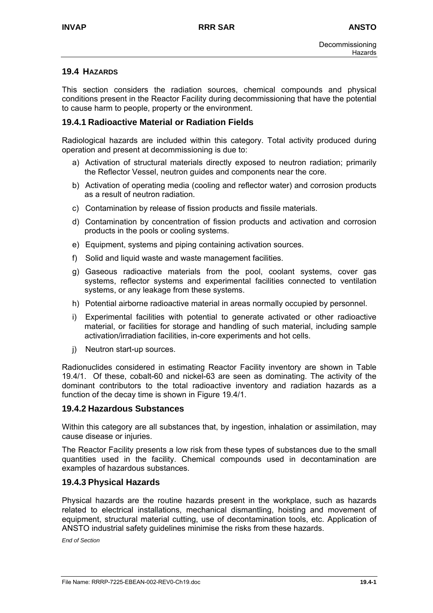#### **19.4 HAZARDS**

This section considers the radiation sources, chemical compounds and physical conditions present in the Reactor Facility during decommissioning that have the potential to cause harm to people, property or the environment.

#### **19.4.1 Radioactive Material or Radiation Fields**

Radiological hazards are included within this category. Total activity produced during operation and present at decommissioning is due to:

- a) Activation of structural materials directly exposed to neutron radiation; primarily the Reflector Vessel, neutron guides and components near the core.
- b) Activation of operating media (cooling and reflector water) and corrosion products as a result of neutron radiation.
- c) Contamination by release of fission products and fissile materials.
- d) Contamination by concentration of fission products and activation and corrosion products in the pools or cooling systems.
- e) Equipment, systems and piping containing activation sources.
- f) Solid and liquid waste and waste management facilities.
- g) Gaseous radioactive materials from the pool, coolant systems, cover gas systems, reflector systems and experimental facilities connected to ventilation systems, or any leakage from these systems.
- h) Potential airborne radioactive material in areas normally occupied by personnel.
- i) Experimental facilities with potential to generate activated or other radioactive material, or facilities for storage and handling of such material, including sample activation/irradiation facilities, in-core experiments and hot cells.
- j) Neutron start-up sources.

Radionuclides considered in estimating Reactor Facility inventory are shown in Table 19.4/1. Of these, cobalt-60 and nickel-63 are seen as dominating. The activity of the dominant contributors to the total radioactive inventory and radiation hazards as a function of the decay time is shown in Figure 19.4/1.

#### **19.4.2 Hazardous Substances**

Within this category are all substances that, by ingestion, inhalation or assimilation, may cause disease or injuries.

The Reactor Facility presents a low risk from these types of substances due to the small quantities used in the facility. Chemical compounds used in decontamination are examples of hazardous substances.

#### **19.4.3 Physical Hazards**

Physical hazards are the routine hazards present in the workplace, such as hazards related to electrical installations, mechanical dismantling, hoisting and movement of equipment, structural material cutting, use of decontamination tools, etc. Application of ANSTO industrial safety guidelines minimise the risks from these hazards.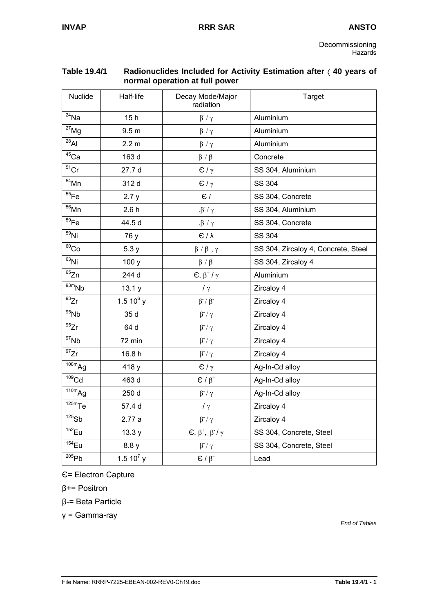| normal operation at full power |                  |                                                         |                                     |  |  |
|--------------------------------|------------------|---------------------------------------------------------|-------------------------------------|--|--|
| Nuclide                        | Half-life        | Decay Mode/Major<br>radiation                           | <b>Target</b>                       |  |  |
| $^{24}$ Na                     | 15h              | $\beta'/\gamma$                                         | Aluminium                           |  |  |
| $27$ Mg                        | 9.5 <sub>m</sub> | $\beta'/\gamma$                                         | Aluminium                           |  |  |
| $^{28}$ Al                     | 2.2 <sub>m</sub> | $\beta'/\gamma$                                         | Aluminium                           |  |  |
| $45$ Ca                        | 163 d            | $\beta^{-}/\beta^{-}$                                   | Concrete                            |  |  |
| $51$ Cr                        | 27.7 d           | $E/\gamma$                                              | SS 304, Aluminium                   |  |  |
| $^{54}$ Mn                     | 312 d            | $E/\gamma$                                              | <b>SS 304</b>                       |  |  |
| $55$ Fe                        | 2.7y             | $\epsilon$ /                                            | SS 304, Concrete                    |  |  |
| $^{56}$ Mn                     | 2.6h             | $.\beta'/\gamma$                                        | SS 304, Aluminium                   |  |  |
| $\overline{59}$ Fe             | 44.5 d           | $.\beta'/\gamma$                                        | SS 304, Concrete                    |  |  |
| $59$ Ni                        | 76 y             | $E/\lambda$                                             | <b>SS 304</b>                       |  |  |
| $60^{\circ}$ Co                | 5.3y             | $\beta^{\cdot}/\beta^{\cdot}, \gamma$                   | SS 304, Zircaloy 4, Concrete, Steel |  |  |
| $63$ Ni                        | 100y             | $\beta^{-}/\beta^{-}$                                   | SS 304, Zircaloy 4                  |  |  |
| $65$ Zn                        | 244 d            | $\mathsf{C}, \beta^{\dagger}/\gamma$                    | Aluminium                           |  |  |
| $93m$ <sub>Nb</sub>            | 13.1 y           | $1\gamma$                                               | Zircaloy 4                          |  |  |
| $^{93}Zr$                      | 1.5 $10^6$ y     | $\beta$ <sup>-</sup> / $\beta$ <sup>-</sup>             | Zircaloy 4                          |  |  |
| $95$ Nb                        | 35 d             | $\beta^{\text{-}}/\gamma$                               | Zircaloy 4                          |  |  |
| $^{95}Zr$                      | 64 d             | $\beta'/\gamma$                                         | Zircaloy 4                          |  |  |
| $97$ Nb                        | 72 min           | $\beta^{\text{-}}/\gamma$                               | Zircaloy 4                          |  |  |
| 97Zr                           | 16.8 h           | $\beta'/\gamma$                                         | Zircaloy 4                          |  |  |
| $\overline{108m}$ Ag           | 418 y            | $E/\gamma$                                              | Ag-In-Cd alloy                      |  |  |
| 109 <sub>Cd</sub>              | 463 d            | $\mathsf{C}/\beta^+$                                    | Ag-In-Cd alloy                      |  |  |
| $\overline{110m}$ Ag           | 250 d            | $\beta'/\gamma$                                         | Ag-In-Cd alloy                      |  |  |
| $\overline{125}$ mTe           | 57.4 d           | / $\gamma$                                              | Zircaloy 4                          |  |  |
| $125$ Sb                       | 2.77 a           | $\beta'/\gamma$                                         | Zircaloy 4                          |  |  |
| $152$ Eu                       | 13.3y            | $\mathbf{C}, \mathbf{\beta}^*, \mathbf{\beta}^*/\gamma$ | SS 304, Concrete, Steel             |  |  |
| $154$ Eu                       | 8.8y             | $\beta'/\gamma$                                         | SS 304, Concrete, Steel             |  |  |
| 205Pb                          | 1.5 $10^7$ y     | $\epsilon$ / $\beta^+$                                  | Lead                                |  |  |

# **Table 19.4/1 Radionuclides Included for Activity Estimation after** 〈 **40 years of**

Є= Electron Capture

β+= Positron

β-= Beta Particle

γ = Gamma-ray

*End of Tables*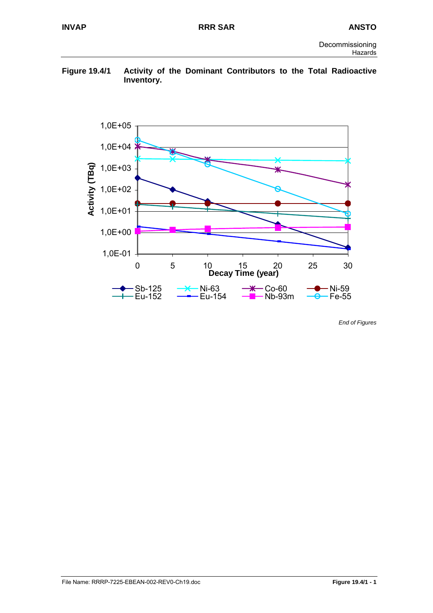# **Figure 19.4/1 Activity of the Dominant Contributors to the Total Radioactive Inventory.**



*End of Figures*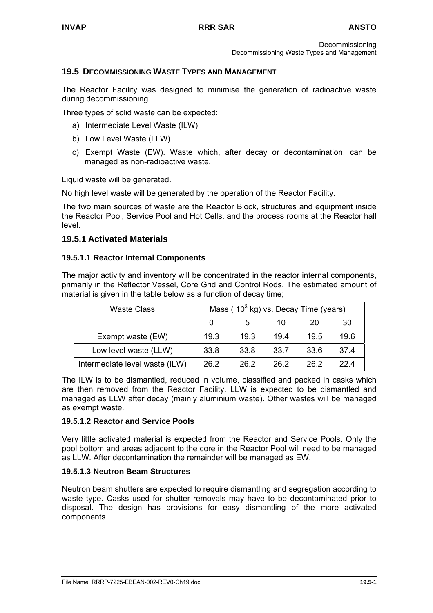# **19.5 DECOMMISSIONING WASTE TYPES AND MANAGEMENT**

The Reactor Facility was designed to minimise the generation of radioactive waste during decommissioning.

Three types of solid waste can be expected:

- a) Intermediate Level Waste (ILW).
- b) Low Level Waste (LLW).
- c) Exempt Waste (EW). Waste which, after decay or decontamination, can be managed as non-radioactive waste.

Liquid waste will be generated.

No high level waste will be generated by the operation of the Reactor Facility.

The two main sources of waste are the Reactor Block, structures and equipment inside the Reactor Pool, Service Pool and Hot Cells, and the process rooms at the Reactor hall level.

# **19.5.1 Activated Materials**

#### **19.5.1.1 Reactor Internal Components**

The major activity and inventory will be concentrated in the reactor internal components, primarily in the Reflector Vessel, Core Grid and Control Rods. The estimated amount of material is given in the table below as a function of decay time;

| <b>Waste Class</b>             | Mass ( $10^3$ kg) vs. Decay Time (years) |      |      |      |      |
|--------------------------------|------------------------------------------|------|------|------|------|
|                                |                                          | 5    | 10   | 20   | 30   |
| Exempt waste (EW)              | 19.3                                     | 19.3 | 19.4 | 19.5 | 19.6 |
| Low level waste (LLW)          | 33.8                                     | 33.8 | 33.7 | 33.6 | 37.4 |
| Intermediate level waste (ILW) | 26.2                                     | 26.2 | 26.2 | 26.2 | 224  |

The ILW is to be dismantled, reduced in volume, classified and packed in casks which are then removed from the Reactor Facility. LLW is expected to be dismantled and managed as LLW after decay (mainly aluminium waste). Other wastes will be managed as exempt waste.

#### **19.5.1.2 Reactor and Service Pools**

Very little activated material is expected from the Reactor and Service Pools. Only the pool bottom and areas adjacent to the core in the Reactor Pool will need to be managed as LLW. After decontamination the remainder will be managed as EW.

#### **19.5.1.3 Neutron Beam Structures**

Neutron beam shutters are expected to require dismantling and segregation according to waste type. Casks used for shutter removals may have to be decontaminated prior to disposal. The design has provisions for easy dismantling of the more activated components.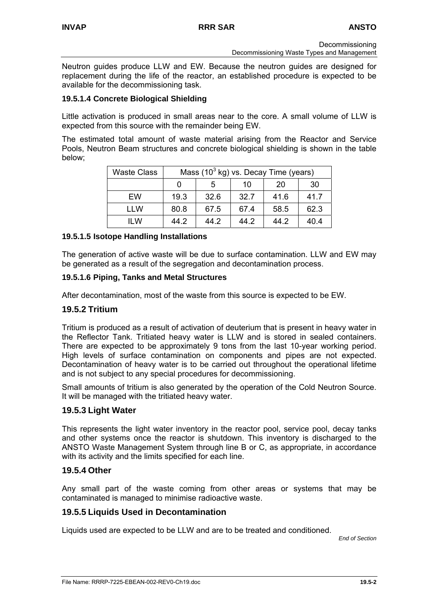Neutron guides produce LLW and EW. Because the neutron guides are designed for replacement during the life of the reactor, an established procedure is expected to be available for the decommissioning task.

# **19.5.1.4 Concrete Biological Shielding**

Little activation is produced in small areas near to the core. A small volume of LLW is expected from this source with the remainder being EW.

The estimated total amount of waste material arising from the Reactor and Service Pools, Neutron Beam structures and concrete biological shielding is shown in the table below;

| <b>Waste Class</b> | Mass $(10^3 \text{ kg})$ vs. Decay Time (years) |      |      |      |      |
|--------------------|-------------------------------------------------|------|------|------|------|
|                    |                                                 | 5    | 10   | 20   | 30   |
| FW                 | 19.3                                            | 32.6 | 32.7 | 41.6 | 41.7 |
| I I W              | 80.8                                            | 67.5 | 67.4 | 58.5 | 62.3 |
| II W               | 44.2                                            | 44.2 | 44.2 | 44.2 | 40.4 |

# **19.5.1.5 Isotope Handling Installations**

The generation of active waste will be due to surface contamination. LLW and EW may be generated as a result of the segregation and decontamination process.

# **19.5.1.6 Piping, Tanks and Metal Structures**

After decontamination, most of the waste from this source is expected to be EW.

#### **19.5.2 Tritium**

Tritium is produced as a result of activation of deuterium that is present in heavy water in the Reflector Tank. Tritiated heavy water is LLW and is stored in sealed containers. There are expected to be approximately 9 tons from the last 10-year working period. High levels of surface contamination on components and pipes are not expected. Decontamination of heavy water is to be carried out throughout the operational lifetime and is not subject to any special procedures for decommissioning.

Small amounts of tritium is also generated by the operation of the Cold Neutron Source. It will be managed with the tritiated heavy water.

# **19.5.3 Light Water**

This represents the light water inventory in the reactor pool, service pool, decay tanks and other systems once the reactor is shutdown. This inventory is discharged to the ANSTO Waste Management System through line B or C, as appropriate, in accordance with its activity and the limits specified for each line.

# **19.5.4 Other**

Any small part of the waste coming from other areas or systems that may be contaminated is managed to minimise radioactive waste.

# **19.5.5 Liquids Used in Decontamination**

Liquids used are expected to be LLW and are to be treated and conditioned.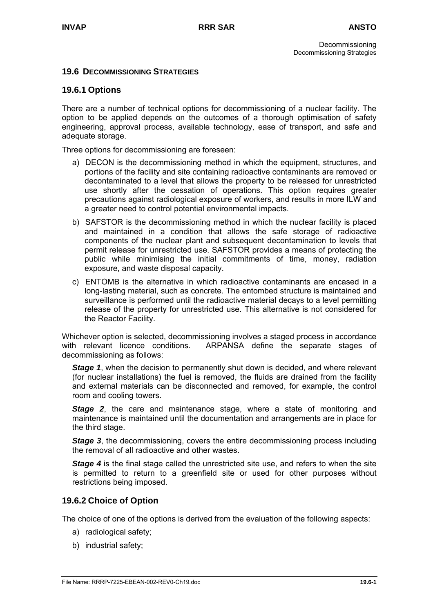#### **19.6 DECOMMISSIONING STRATEGIES**

#### **19.6.1 Options**

There are a number of technical options for decommissioning of a nuclear facility. The option to be applied depends on the outcomes of a thorough optimisation of safety engineering, approval process, available technology, ease of transport, and safe and adequate storage.

Three options for decommissioning are foreseen:

- a) DECON is the decommissioning method in which the equipment, structures, and portions of the facility and site containing radioactive contaminants are removed or decontaminated to a level that allows the property to be released for unrestricted use shortly after the cessation of operations. This option requires greater precautions against radiological exposure of workers, and results in more ILW and a greater need to control potential environmental impacts.
- b) SAFSTOR is the decommissioning method in which the nuclear facility is placed and maintained in a condition that allows the safe storage of radioactive components of the nuclear plant and subsequent decontamination to levels that permit release for unrestricted use. SAFSTOR provides a means of protecting the public while minimising the initial commitments of time, money, radiation exposure, and waste disposal capacity.
- c) ENTOMB is the alternative in which radioactive contaminants are encased in a long-lasting material, such as concrete. The entombed structure is maintained and surveillance is performed until the radioactive material decays to a level permitting release of the property for unrestricted use. This alternative is not considered for the Reactor Facility.

Whichever option is selected, decommissioning involves a staged process in accordance with relevant licence conditions. ARPANSA define the separate stages of decommissioning as follows:

*Stage 1*, when the decision to permanently shut down is decided, and where relevant (for nuclear installations) the fuel is removed, the fluids are drained from the facility and external materials can be disconnected and removed, for example, the control room and cooling towers.

**Stage 2**, the care and maintenance stage, where a state of monitoring and maintenance is maintained until the documentation and arrangements are in place for the third stage.

*Stage 3*, the decommissioning, covers the entire decommissioning process including the removal of all radioactive and other wastes.

*Stage 4* is the final stage called the unrestricted site use, and refers to when the site is permitted to return to a greenfield site or used for other purposes without restrictions being imposed.

# **19.6.2 Choice of Option**

The choice of one of the options is derived from the evaluation of the following aspects:

- a) radiological safety;
- b) industrial safety;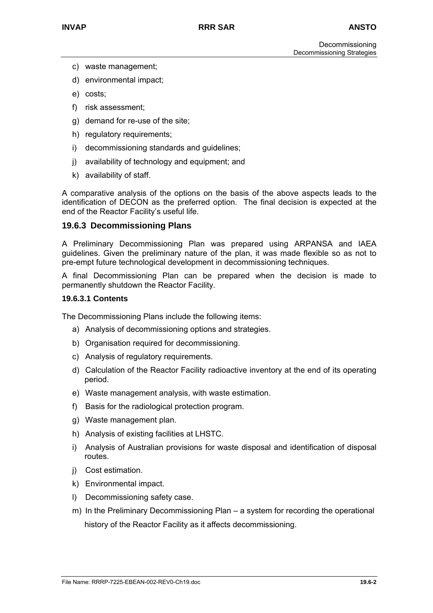- c) waste management;
- d) environmental impact;
- e) costs;
- f) risk assessment;
- g) demand for re-use of the site;
- h) requiatory requirements:
- i) decommissioning standards and guidelines;
- j) availability of technology and equipment; and
- k) availability of staff.

A comparative analysis of the options on the basis of the above aspects leads to the identification of DECON as the preferred option. The final decision is expected at the end of the Reactor Facility's useful life.

#### **19.6.3 Decommissioning Plans**

A Preliminary Decommissioning Plan was prepared using ARPANSA and IAEA guidelines. Given the preliminary nature of the plan, it was made flexible so as not to pre-empt future technological development in decommissioning techniques.

A final Decommissioning Plan can be prepared when the decision is made to permanently shutdown the Reactor Facility.

#### **19.6.3.1 Contents**

The Decommissioning Plans include the following items:

- a) Analysis of decommissioning options and strategies.
- b) Organisation required for decommissioning.
- c) Analysis of regulatory requirements.
- d) Calculation of the Reactor Facility radioactive inventory at the end of its operating period.
- e) Waste management analysis, with waste estimation.
- f) Basis for the radiological protection program.
- g) Waste management plan.
- h) Analysis of existing facilities at LHSTC.
- i) Analysis of Australian provisions for waste disposal and identification of disposal routes.
- j) Cost estimation.
- k) Environmental impact.
- l) Decommissioning safety case.
- m) In the Preliminary Decommissioning Plan a system for recording the operational history of the Reactor Facility as it affects decommissioning.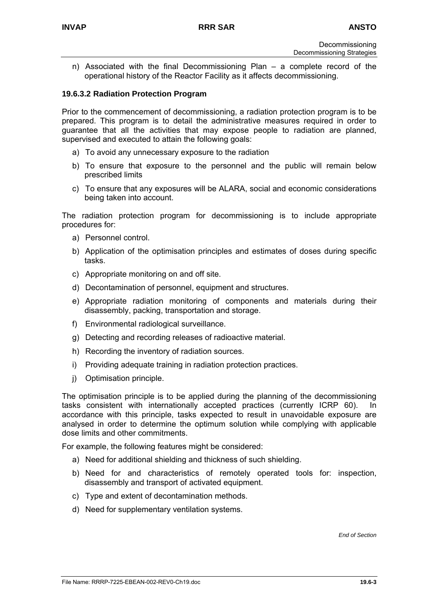n) Associated with the final Decommissioning Plan – a complete record of the operational history of the Reactor Facility as it affects decommissioning.

#### **19.6.3.2 Radiation Protection Program**

Prior to the commencement of decommissioning, a radiation protection program is to be prepared. This program is to detail the administrative measures required in order to guarantee that all the activities that may expose people to radiation are planned, supervised and executed to attain the following goals:

- a) To avoid any unnecessary exposure to the radiation
- b) To ensure that exposure to the personnel and the public will remain below prescribed limits
- c) To ensure that any exposures will be ALARA, social and economic considerations being taken into account.

The radiation protection program for decommissioning is to include appropriate procedures for:

- a) Personnel control.
- b) Application of the optimisation principles and estimates of doses during specific tasks.
- c) Appropriate monitoring on and off site.
- d) Decontamination of personnel, equipment and structures.
- e) Appropriate radiation monitoring of components and materials during their disassembly, packing, transportation and storage.
- f) Environmental radiological surveillance.
- g) Detecting and recording releases of radioactive material.
- h) Recording the inventory of radiation sources.
- i) Providing adequate training in radiation protection practices.
- j) Optimisation principle.

The optimisation principle is to be applied during the planning of the decommissioning tasks consistent with internationally accepted practices (currently ICRP 60). In accordance with this principle, tasks expected to result in unavoidable exposure are analysed in order to determine the optimum solution while complying with applicable dose limits and other commitments.

For example, the following features might be considered:

- a) Need for additional shielding and thickness of such shielding.
- b) Need for and characteristics of remotely operated tools for: inspection, disassembly and transport of activated equipment.
- c) Type and extent of decontamination methods.
- d) Need for supplementary ventilation systems.